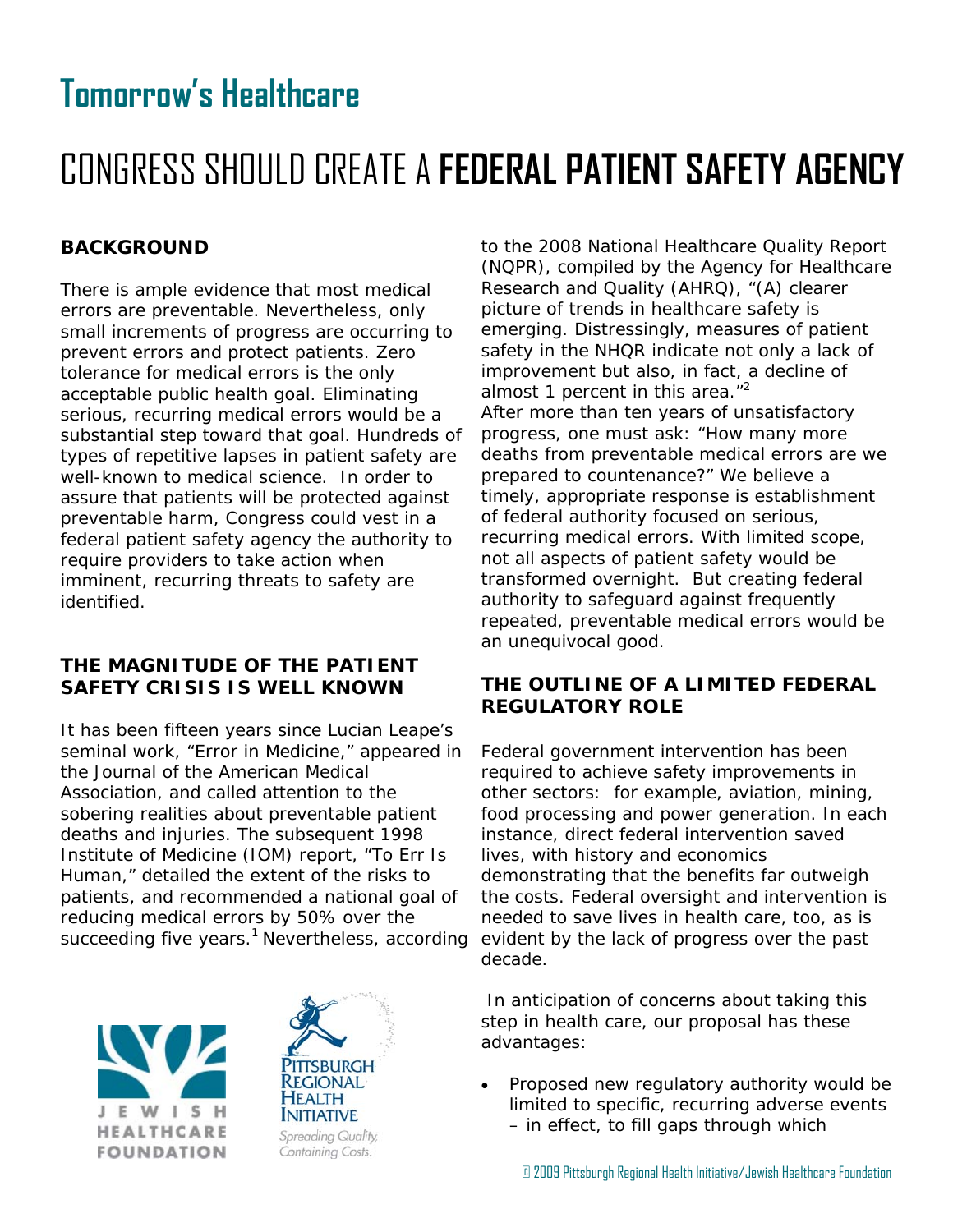## **Tomorrow's Healthcare**

# CONGRESS SHOULD CREATE A **FEDERAL PATIENT SAFETY AGENCY**

## **BACKGROUND**

There is ample evidence that most medical errors are preventable. Nevertheless, only small increments of progress are occurring to prevent errors and protect patients. Zero tolerance for medical errors is the only acceptable public health goal. Eliminating serious, recurring medical errors would be a substantial step toward that goal. Hundreds of types of repetitive lapses in patient safety are well-known to medical science. In order to assure that patients will be protected against preventable harm, Congress could vest in a federal patient safety agency the authority to require providers to take action when imminent, recurring threats to safety are identified.

## **THE MAGNITUDE OF THE PATIENT SAFETY CRISIS IS WELL KNOWN**

It has been fifteen years since Lucian Leape's seminal work, "Error in Medicine," appeared in the Journal of the American Medical Association, and called attention to the sobering realities about preventable patient deaths and injuries. The subsequent 1998 Institute of Medicine (IOM) report, "To Err Is Human," detailed the extent of the risks to patients, and recommended a national goal of reducing medical errors by 50% over the succeeding five years.<sup>1</sup> Nevertheless, according





to the 2008 National Healthcare Quality Report (NQPR), compiled by the Agency for Healthcare Research and Quality (AHRQ), "(A) clearer picture of trends in healthcare safety is emerging. Distressingly, measures of patient safety in the NHQR indicate not only a lack of improvement but also, in fact, a decline of almost 1 percent in this area. $<sup>n2</sup>$ </sup> After more than ten years of unsatisfactory progress, one must ask: "How many more deaths from preventable medical errors are we prepared to countenance?" We believe a timely, appropriate response is establishment of federal authority focused on serious, recurring medical errors. With limited scope, not all aspects of patient safety would be transformed overnight. But creating federal authority to safeguard against frequently repeated, preventable medical errors would be an unequivocal good.

## **THE OUTLINE OF A LIMITED FEDERAL REGULATORY ROLE**

Federal government intervention has been required to achieve safety improvements in other sectors: for example, aviation, mining, food processing and power generation. In each instance, direct federal intervention saved lives, with history and economics demonstrating that the benefits far outweigh the costs. Federal oversight and intervention is needed to save lives in health care, too, as is evident by the lack of progress over the past decade.

 In anticipation of concerns about taking this step in health care, our proposal has these advantages:

 Proposed new regulatory authority would be limited to specific, recurring adverse events – in effect, to fill gaps through which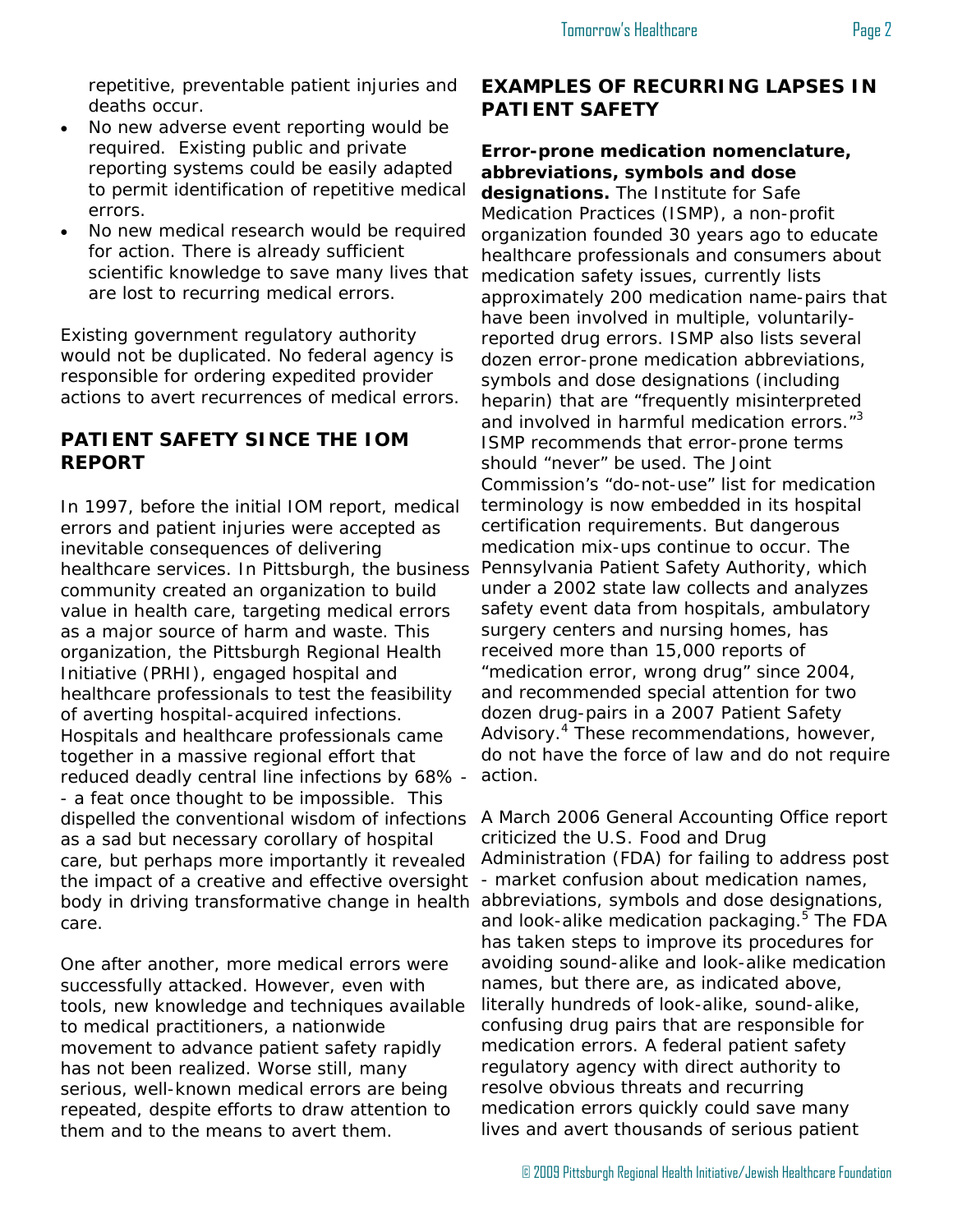repetitive, preventable patient injuries and deaths occur.

- No new adverse event reporting would be required. Existing public and private reporting systems could be easily adapted to permit identification of repetitive medical errors.
- No new medical research would be required for action. There is already sufficient scientific knowledge to save many lives that are lost to recurring medical errors.

Existing government regulatory authority would not be duplicated. No federal agency is responsible for ordering expedited provider actions to avert recurrences of medical errors.

### **PATIENT SAFETY SINCE THE IOM REPORT**

In 1997, before the initial IOM report, medical errors and patient injuries were accepted as inevitable consequences of delivering healthcare services. In Pittsburgh, the business community created an organization to build value in health care, targeting medical errors as a major source of harm and waste. This organization, the Pittsburgh Regional Health Initiative (PRHI), engaged hospital and healthcare professionals to test the feasibility of averting hospital-acquired infections. Hospitals and healthcare professionals came together in a massive regional effort that reduced deadly central line infections by 68% - - a feat once thought to be impossible. This dispelled the conventional wisdom of infections as a sad but necessary corollary of hospital care, but perhaps more importantly it revealed the impact of a creative and effective oversight body in driving transformative change in health abbreviations, symbols and dose designations, care.

One after another, more medical errors were successfully attacked. However, even with tools, new knowledge and techniques available to medical practitioners, a nationwide movement to advance patient safety rapidly has not been realized. Worse still, many serious, well-known medical errors are being repeated, despite efforts to draw attention to them and to the means to avert them.

## **EXAMPLES OF RECURRING LAPSES IN PATIENT SAFETY**

## **Error-prone medication nomenclature, abbreviations, symbols and dose**

**designations.** The Institute for Safe Medication Practices (ISMP), a non-profit organization founded 30 years ago to educate healthcare professionals and consumers about medication safety issues, currently lists approximately 200 medication name-pairs that have been involved in multiple, voluntarilyreported drug errors. ISMP also lists several dozen error-prone medication abbreviations, symbols and dose designations (including heparin) that are "frequently misinterpreted and involved in harmful medication errors."<sup>3</sup> ISMP recommends that error-prone terms should "never" be used. The Joint Commission's "do-not-use" list for medication terminology is now embedded in its hospital certification requirements. But dangerous medication mix-ups continue to occur. The Pennsylvania Patient Safety Authority, which under a 2002 state law collects and analyzes safety event data from hospitals, ambulatory surgery centers and nursing homes, has received more than 15,000 reports of "medication error, wrong drug" since 2004, and recommended special attention for two dozen drug-pairs in a 2007 Patient Safety Advisory.<sup>4</sup> These recommendations, however, do not have the force of law and do not require action.

A March 2006 General Accounting Office report criticized the U.S. Food and Drug Administration (FDA) for failing to address post - market confusion about medication names, and look-alike medication packaging.<sup>5</sup> The FDA has taken steps to improve its procedures for avoiding sound-alike and look-alike medication names, but there are, as indicated above, literally hundreds of look-alike, sound-alike, confusing drug pairs that are responsible for medication errors. A federal patient safety regulatory agency with direct authority to resolve obvious threats and recurring medication errors quickly could save many lives and avert thousands of serious patient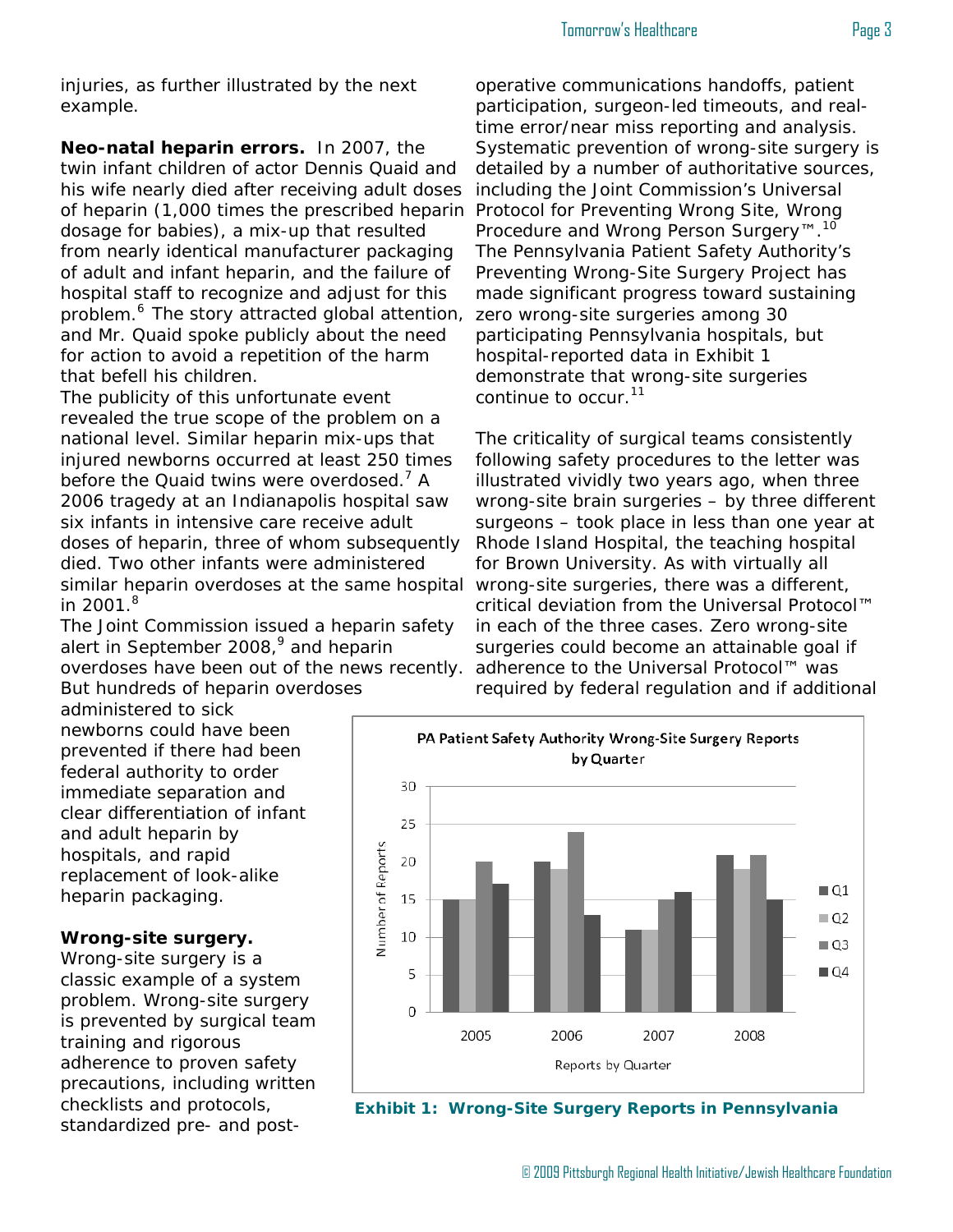#### Tomorrow's Healthcare **Page 3**

injuries, as further illustrated by the next example.

**Neo-natal heparin errors.** In 2007, the twin infant children of actor Dennis Quaid and his wife nearly died after receiving adult doses of heparin (1,000 times the prescribed heparin dosage for babies), a mix-up that resulted from nearly identical manufacturer packaging of adult and infant heparin, and the failure of hospital staff to recognize and adjust for this problem.<sup>6</sup> The story attracted global attention, and Mr. Quaid spoke publicly about the need for action to avoid a repetition of the harm that befell his children.

The publicity of this unfortunate event revealed the true scope of the problem on a national level. Similar heparin mix-ups that injured newborns occurred at least 250 times before the Quaid twins were overdosed.<sup>7</sup> A 2006 tragedy at an Indianapolis hospital saw six infants in intensive care receive adult doses of heparin, three of whom subsequently died. Two other infants were administered similar heparin overdoses at the same hospital wrong-site surgeries, there was a different, in 2001. $8$ 

The Joint Commission issued a heparin safety alert in September 2008,<sup>9</sup> and heparin overdoses have been out of the news recently. But hundreds of heparin overdoses

administered to sick newborns could have been prevented if there had been federal authority to order immediate separation and clear differentiation of infant

and adult heparin by hospitals, and rapid replacement of look-alike heparin packaging.

#### **Wrong-site surgery.**

Wrong-site surgery is a classic example of a system problem. Wrong-site surgery is prevented by surgical team training and rigorous adherence to proven safety precautions, including written checklists and protocols, standardized pre- and post-

operative communications handoffs, patient participation, surgeon-led timeouts, and realtime error/near miss reporting and analysis. Systematic prevention of wrong-site surgery is detailed by a number of authoritative sources, including the Joint Commission's Universal Protocol for Preventing Wrong Site, Wrong Procedure and Wrong Person Surgery<sup>™.10</sup> The Pennsylvania Patient Safety Authority's Preventing Wrong-Site Surgery Project has made significant progress toward sustaining zero wrong-site surgeries among 30 participating Pennsylvania hospitals, but hospital-reported data in Exhibit 1 demonstrate that wrong-site surgeries continue to occur.<sup>11</sup>

The criticality of surgical teams consistently following safety procedures to the letter was illustrated vividly two years ago, when three wrong-site brain surgeries – by three different surgeons – took place in less than one year at Rhode Island Hospital, the teaching hospital for Brown University. As with virtually all critical deviation from the Universal Protocol™ in each of the three cases. Zero wrong-site surgeries could become an attainable goal if adherence to the Universal Protocol™ was required by federal regulation and if additional



**Exhibit 1: Wrong-Site Surgery Reports in Pennsylvania**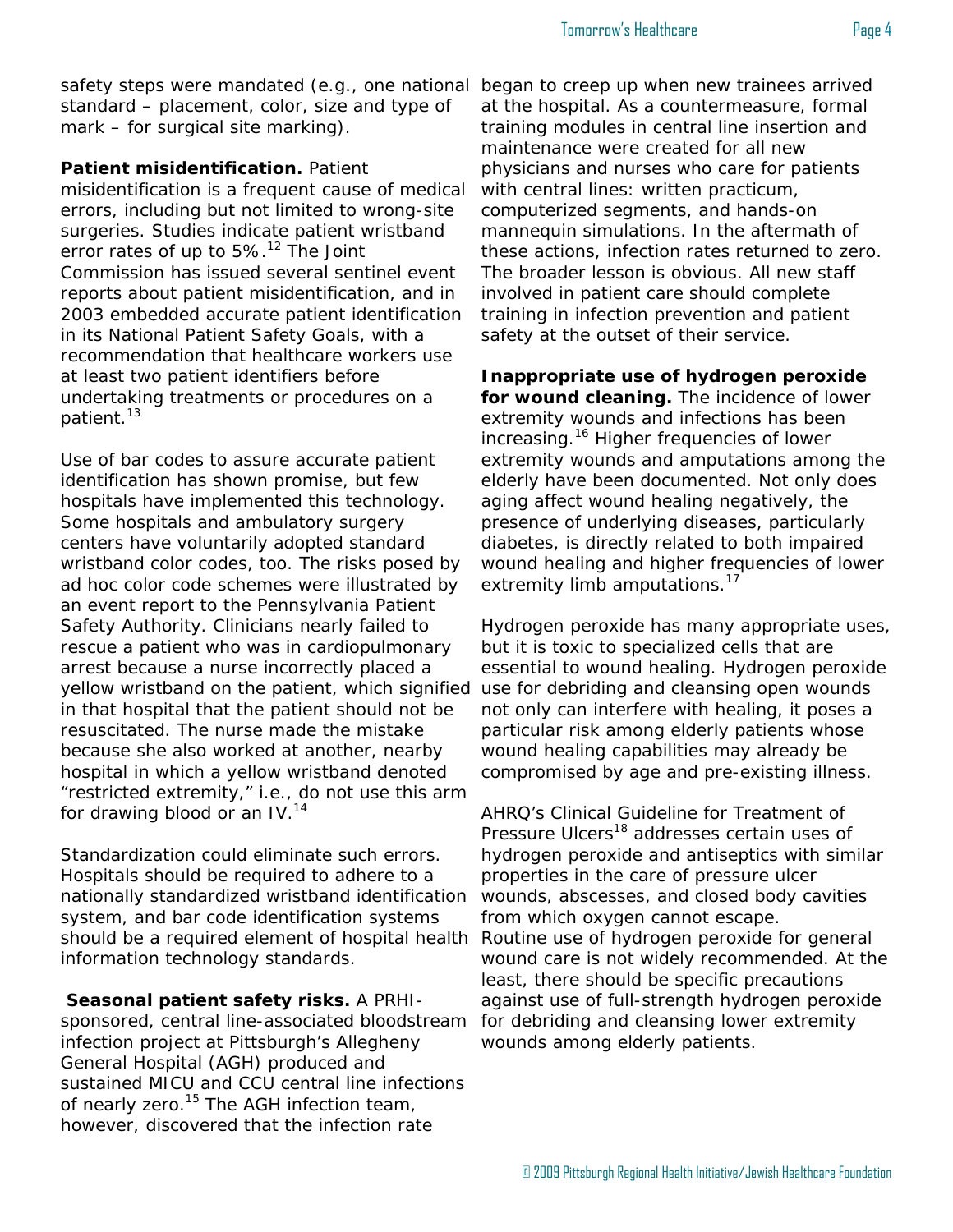safety steps were mandated (e.g., one national standard – placement, color, size and type of mark – for surgical site marking).

**Patient misidentification.** Patient

misidentification is a frequent cause of medical errors, including but not limited to wrong-site surgeries. Studies indicate patient wristband error rates of up to 5%.<sup>12</sup> The Joint Commission has issued several sentinel event reports about patient misidentification, and in 2003 embedded accurate patient identification in its National Patient Safety Goals, with a recommendation that healthcare workers use at least two patient identifiers before undertaking treatments or procedures on a patient.<sup>13</sup>

Use of bar codes to assure accurate patient identification has shown promise, but few hospitals have implemented this technology. Some hospitals and ambulatory surgery centers have voluntarily adopted standard wristband color codes, too. The risks posed by ad hoc color code schemes were illustrated by an event report to the Pennsylvania Patient Safety Authority. Clinicians nearly failed to rescue a patient who was in cardiopulmonary arrest because a nurse incorrectly placed a yellow wristband on the patient, which signified in that hospital that the patient should not be resuscitated. The nurse made the mistake because she also worked at another, nearby hospital in which a yellow wristband denoted "restricted extremity," i.e., do not use this arm for drawing blood or an  $IV.^{14}$ 

Standardization could eliminate such errors. Hospitals should be required to adhere to a nationally standardized wristband identification system, and bar code identification systems should be a required element of hospital health information technology standards.

**Seasonal patient safety risks.** A PRHIsponsored, central line-associated bloodstream infection project at Pittsburgh's Allegheny General Hospital (AGH) produced and sustained MICU and CCU central line infections of nearly zero.<sup>15</sup> The AGH infection team, however, discovered that the infection rate

began to creep up when new trainees arrived at the hospital. As a countermeasure, formal training modules in central line insertion and maintenance were created for all new physicians and nurses who care for patients with central lines: written practicum, computerized segments, and hands-on mannequin simulations. In the aftermath of these actions, infection rates returned to zero. The broader lesson is obvious. All new staff involved in patient care should complete training in infection prevention and patient safety at the outset of their service.

**Inappropriate use of hydrogen peroxide for wound cleaning.** The incidence of lower extremity wounds and infections has been increasing.<sup>16</sup> Higher frequencies of lower extremity wounds and amputations among the elderly have been documented. Not only does aging affect wound healing negatively, the presence of underlying diseases, particularly diabetes, is directly related to both impaired wound healing and higher frequencies of lower extremity limb amputations.<sup>17</sup>

Hydrogen peroxide has many appropriate uses, but it is toxic to specialized cells that are essential to wound healing. Hydrogen peroxide use for debriding and cleansing open wounds not only can interfere with healing, it poses a particular risk among elderly patients whose wound healing capabilities may already be compromised by age and pre-existing illness.

AHRQ's Clinical Guideline for Treatment of Pressure Ulcers<sup>18</sup> addresses certain uses of hydrogen peroxide and antiseptics with similar properties in the care of pressure ulcer wounds, abscesses, and closed body cavities from which oxygen cannot escape. Routine use of hydrogen peroxide for general wound care is not widely recommended. At the least, there should be specific precautions against use of full-strength hydrogen peroxide for debriding and cleansing lower extremity wounds among elderly patients.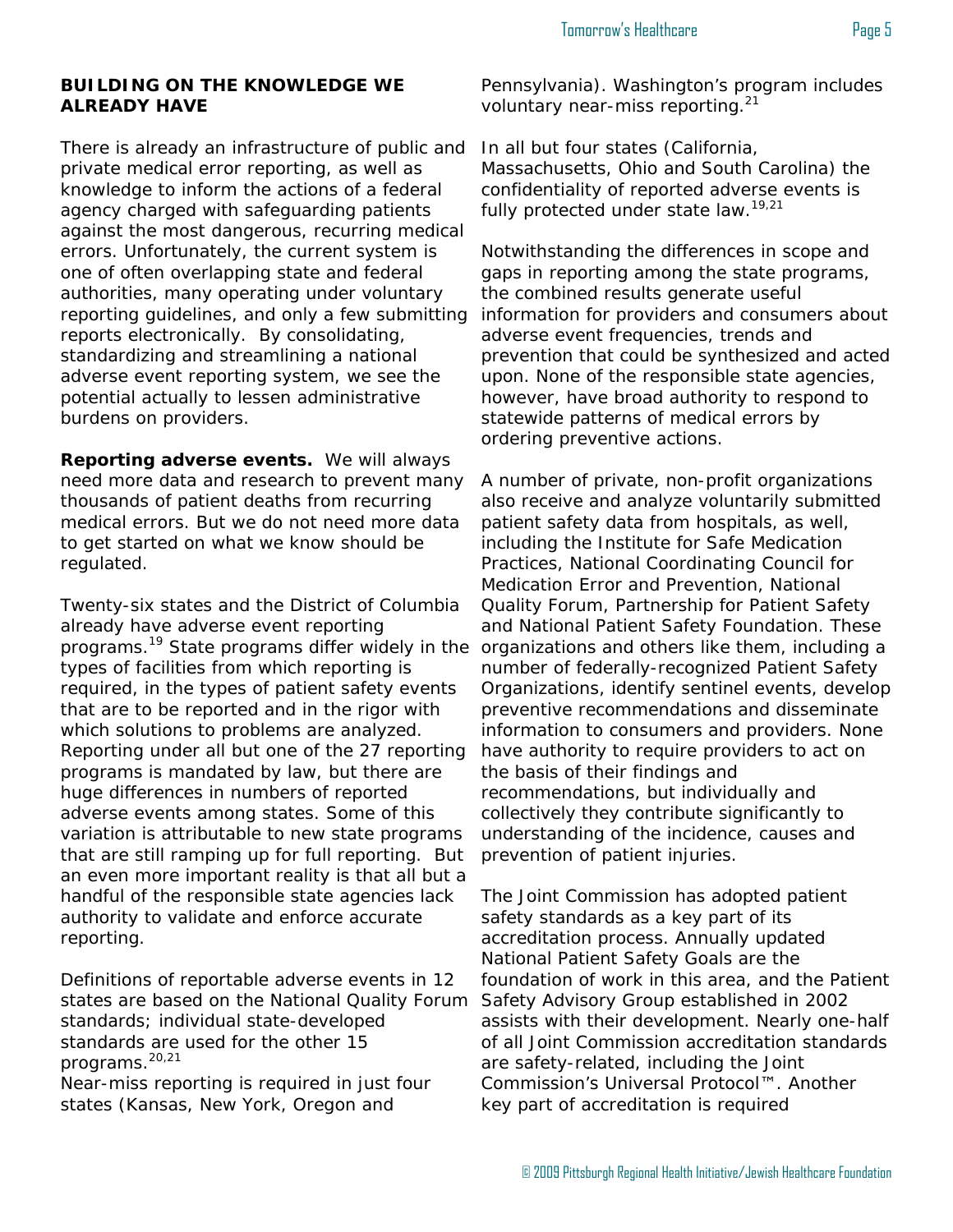#### **BUILDING ON THE KNOWLEDGE WE ALREADY HAVE**

There is already an infrastructure of public and private medical error reporting, as well as knowledge to inform the actions of a federal agency charged with safeguarding patients against the most dangerous, recurring medical errors. Unfortunately, the current system is one of often overlapping state and federal authorities, many operating under voluntary reporting guidelines, and only a few submitting reports electronically. By consolidating, standardizing and streamlining a national adverse event reporting system, we see the potential actually to lessen administrative burdens on providers.

**Reporting adverse events.** We will always need more data and research to prevent many thousands of patient deaths from recurring medical errors. But we do not need more data to get started on what we know should be regulated.

Twenty-six states and the District of Columbia already have adverse event reporting programs.<sup>19</sup> State programs differ widely in the organizations and others like them, including a types of facilities from which reporting is required, in the types of patient safety events that are to be reported and in the rigor with which solutions to problems are analyzed. Reporting under all but one of the 27 reporting programs is mandated by law, but there are huge differences in numbers of reported adverse events among states. Some of this variation is attributable to new state programs that are still ramping up for full reporting. But an even more important reality is that all but a handful of the responsible state agencies lack authority to validate and enforce accurate reporting.

Definitions of reportable adverse events in 12 states are based on the National Quality Forum standards; individual state-developed standards are used for the other 15 programs.20,21

Near-miss reporting is required in just four states (Kansas, New York, Oregon and

Pennsylvania). Washington's program includes voluntary near-miss reporting.<sup>21</sup>

In all but four states (California, Massachusetts, Ohio and South Carolina) the confidentiality of reported adverse events is fully protected under state law.<sup>19,21</sup>

Notwithstanding the differences in scope and gaps in reporting among the state programs, the combined results generate useful information for providers and consumers about adverse event frequencies, trends and prevention that could be synthesized and acted upon. None of the responsible state agencies, however, have broad authority to respond to statewide patterns of medical errors by ordering preventive actions.

A number of private, non-profit organizations also receive and analyze voluntarily submitted patient safety data from hospitals, as well, including the Institute for Safe Medication Practices, National Coordinating Council for Medication Error and Prevention, National Quality Forum, Partnership for Patient Safety and National Patient Safety Foundation. These number of federally-recognized Patient Safety Organizations, identify sentinel events, develop preventive recommendations and disseminate information to consumers and providers. None have authority to require providers to act on the basis of their findings and recommendations, but individually and collectively they contribute significantly to understanding of the incidence, causes and prevention of patient injuries.

The Joint Commission has adopted patient safety standards as a key part of its accreditation process. Annually updated National Patient Safety Goals are the foundation of work in this area, and the Patient Safety Advisory Group established in 2002 assists with their development. Nearly one-half of all Joint Commission accreditation standards are safety-related, including the Joint Commission's Universal Protocol™. Another key part of accreditation is required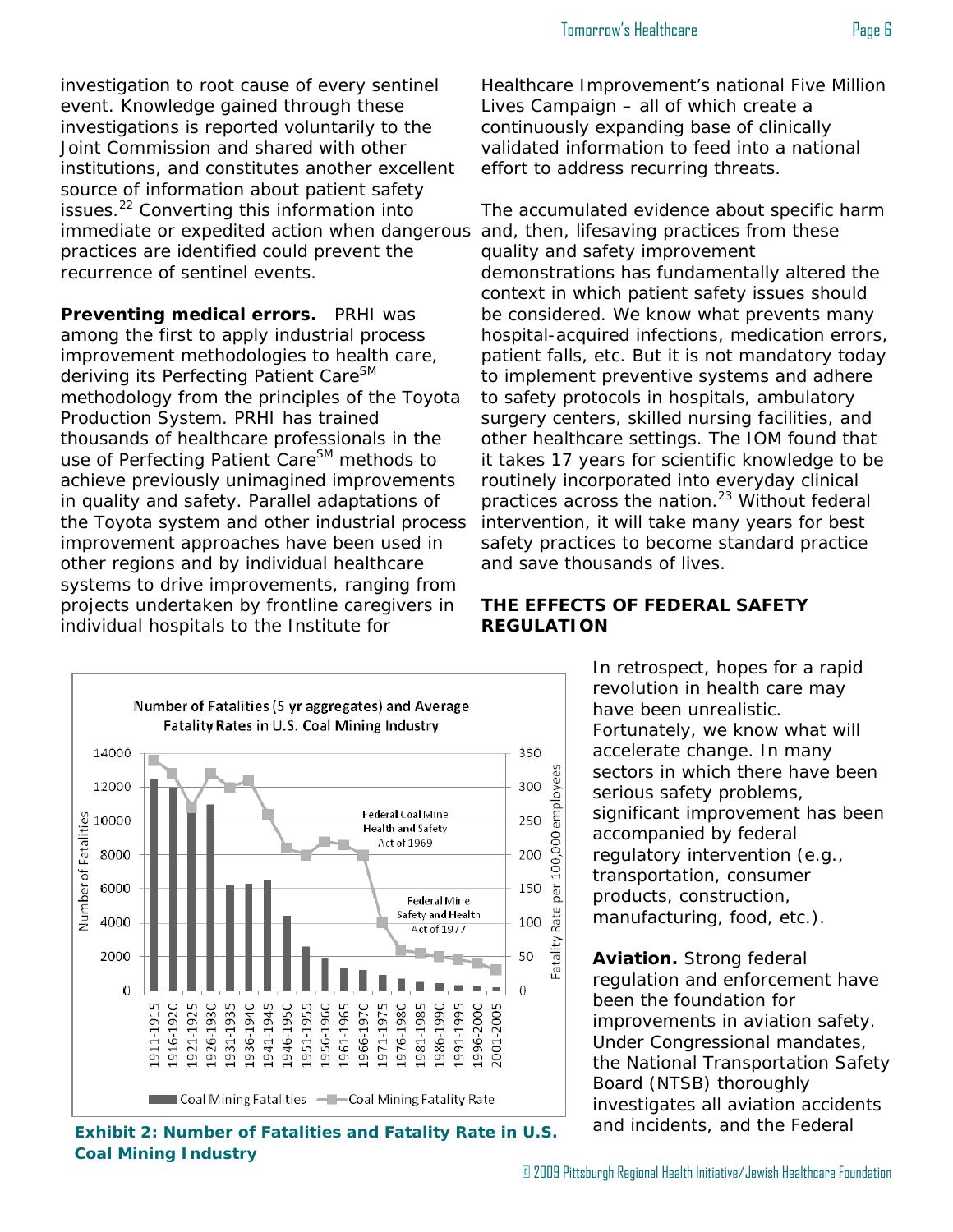investigation to root cause of every sentinel event. Knowledge gained through these investigations is reported voluntarily to the Joint Commission and shared with other institutions, and constitutes another excellent source of information about patient safety issues.<sup>22</sup> Converting this information into immediate or expedited action when dangerous practices are identified could prevent the recurrence of sentinel events.

**Preventing medical errors.** PRHI was among the first to apply industrial process improvement methodologies to health care, deriving its Perfecting Patient Care<sup>SM</sup> methodology from the principles of the Toyota Production System. PRHI has trained thousands of healthcare professionals in the use of Perfecting Patient Care<sup>SM</sup> methods to achieve previously unimagined improvements in quality and safety. Parallel adaptations of the Toyota system and other industrial process improvement approaches have been used in other regions and by individual healthcare systems to drive improvements, ranging from projects undertaken by frontline caregivers in individual hospitals to the Institute for



The accumulated evidence about specific harm and, then, lifesaving practices from these quality and safety improvement demonstrations has fundamentally altered the context in which patient safety issues should be considered. We know what prevents many hospital-acquired infections, medication errors, patient falls, etc. But it is not mandatory today to implement preventive systems and adhere to safety protocols in hospitals, ambulatory surgery centers, skilled nursing facilities, and other healthcare settings. The IOM found that it takes 17 years for scientific knowledge to be routinely incorporated into everyday clinical practices across the nation.<sup>23</sup> Without federal intervention, it will take many years for best safety practices to become standard practice and save thousands of lives.

#### **THE EFFECTS OF FEDERAL SAFETY REGULATION**

In retrospect, hopes for a rapid revolution in health care may have been unrealistic. Fortunately, we know what will accelerate change. In many sectors in which there have been serious safety problems, significant improvement has been accompanied by federal regulatory intervention (e.g., transportation, consumer products, construction, manufacturing, food, etc.).

**Aviation.** Strong federal regulation and enforcement have been the foundation for improvements in aviation safety. Under Congressional mandates, the National Transportation Safety Board (NTSB) thoroughly investigates all aviation accidents



**Exhibit 2: Number of Fatalities and Fatality Rate in U.S.** and incidents, and the Federal **Coal Mining Industry**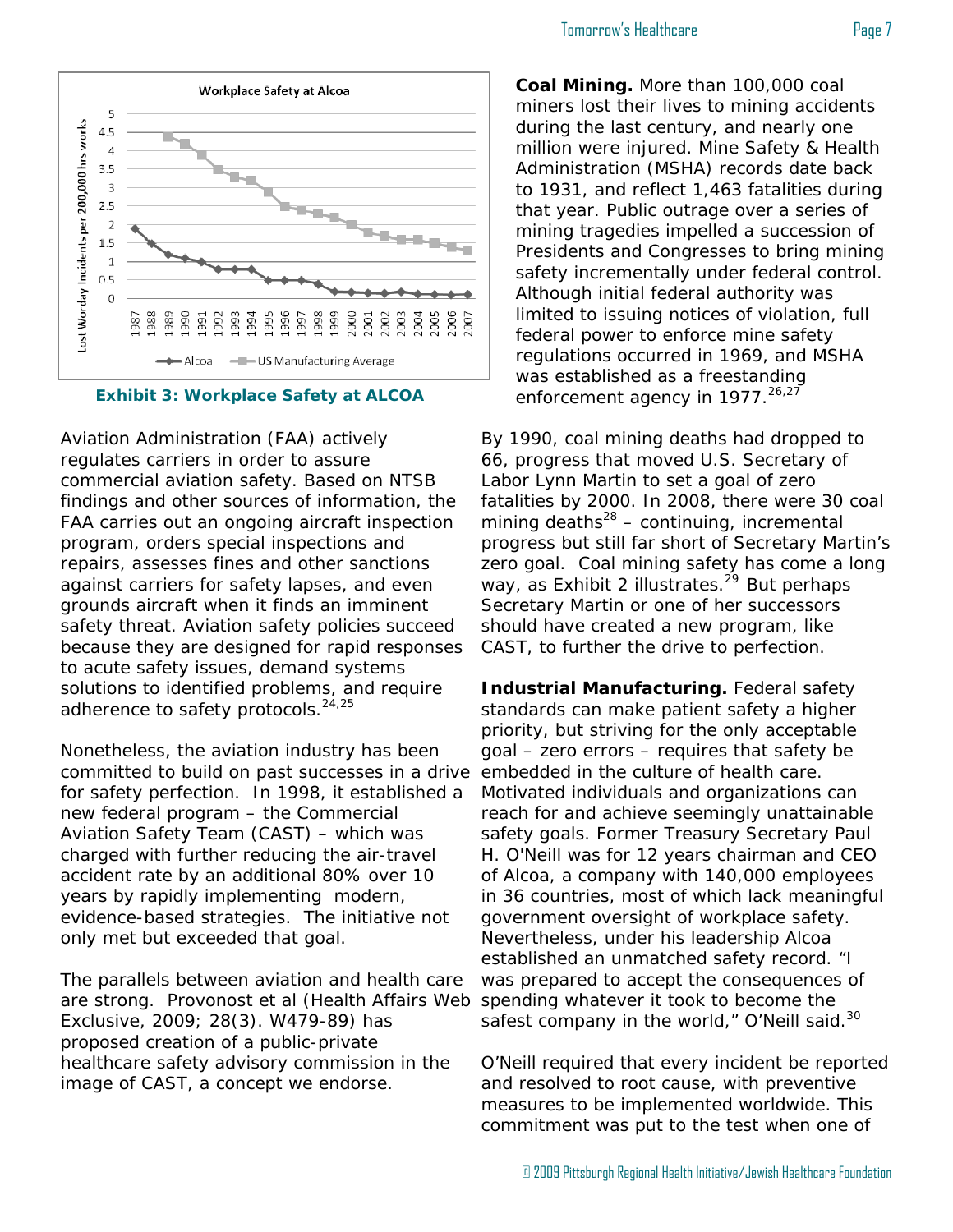



Aviation Administration (FAA) actively regulates carriers in order to assure commercial aviation safety. Based on NTSB findings and other sources of information, the FAA carries out an ongoing aircraft inspection program, orders special inspections and repairs, assesses fines and other sanctions against carriers for safety lapses, and even grounds aircraft when it finds an imminent safety threat. Aviation safety policies succeed because they are designed for rapid responses to acute safety issues, demand systems solutions to identified problems, and require adherence to safety protocols.<sup>24,25</sup>

Nonetheless, the aviation industry has been committed to build on past successes in a drive for safety perfection. In 1998, it established a new federal program – the Commercial Aviation Safety Team (CAST) – which was charged with further reducing the air-travel accident rate by an additional 80% over 10 years by rapidly implementing modern, evidence-based strategies. The initiative not only met but exceeded that goal.

The parallels between aviation and health care are strong. Provonost et al (Health Affairs Web Exclusive, 2009; 28(3). W479-89) has proposed creation of a public-private healthcare safety advisory commission in the image of CAST, a concept we endorse.

**Coal Mining.** More than 100,000 coal miners lost their lives to mining accidents during the last century, and nearly one million were injured. Mine Safety & Health Administration (MSHA) records date back to 1931, and reflect 1,463 fatalities during that year. Public outrage over a series of mining tragedies impelled a succession of Presidents and Congresses to bring mining safety incrementally under federal control. Although initial federal authority was limited to issuing notices of violation, full federal power to enforce mine safety regulations occurred in 1969, and MSHA was established as a freestanding enforcement agency in 1977. $26,27$ 

By 1990, coal mining deaths had dropped to 66, progress that moved U.S. Secretary of Labor Lynn Martin to set a goal of zero fatalities by 2000. In 2008, there were 30 coal mining deaths $^{28}$  – continuing, incremental progress but still far short of Secretary Martin's zero goal. Coal mining safety has come a long way, as Exhibit 2 illustrates. $^{29}$  But perhaps Secretary Martin or one of her successors should have created a new program, like CAST, to further the drive to perfection.

**Industrial Manufacturing.** Federal safety standards can make patient safety a higher priority, but striving for the only acceptable goal – zero errors – requires that safety be embedded in the culture of health care. Motivated individuals and organizations can reach for and achieve seemingly unattainable safety goals. Former Treasury Secretary Paul H. O'Neill was for 12 years chairman and CEO of Alcoa, a company with 140,000 employees in 36 countries, most of which lack meaningful government oversight of workplace safety. Nevertheless, under his leadership Alcoa established an unmatched safety record. "I was prepared to accept the consequences of spending whatever it took to become the safest company in the world," O'Neill said.<sup>30</sup>

O'Neill required that every incident be reported and resolved to root cause, with preventive measures to be implemented worldwide. This commitment was put to the test when one of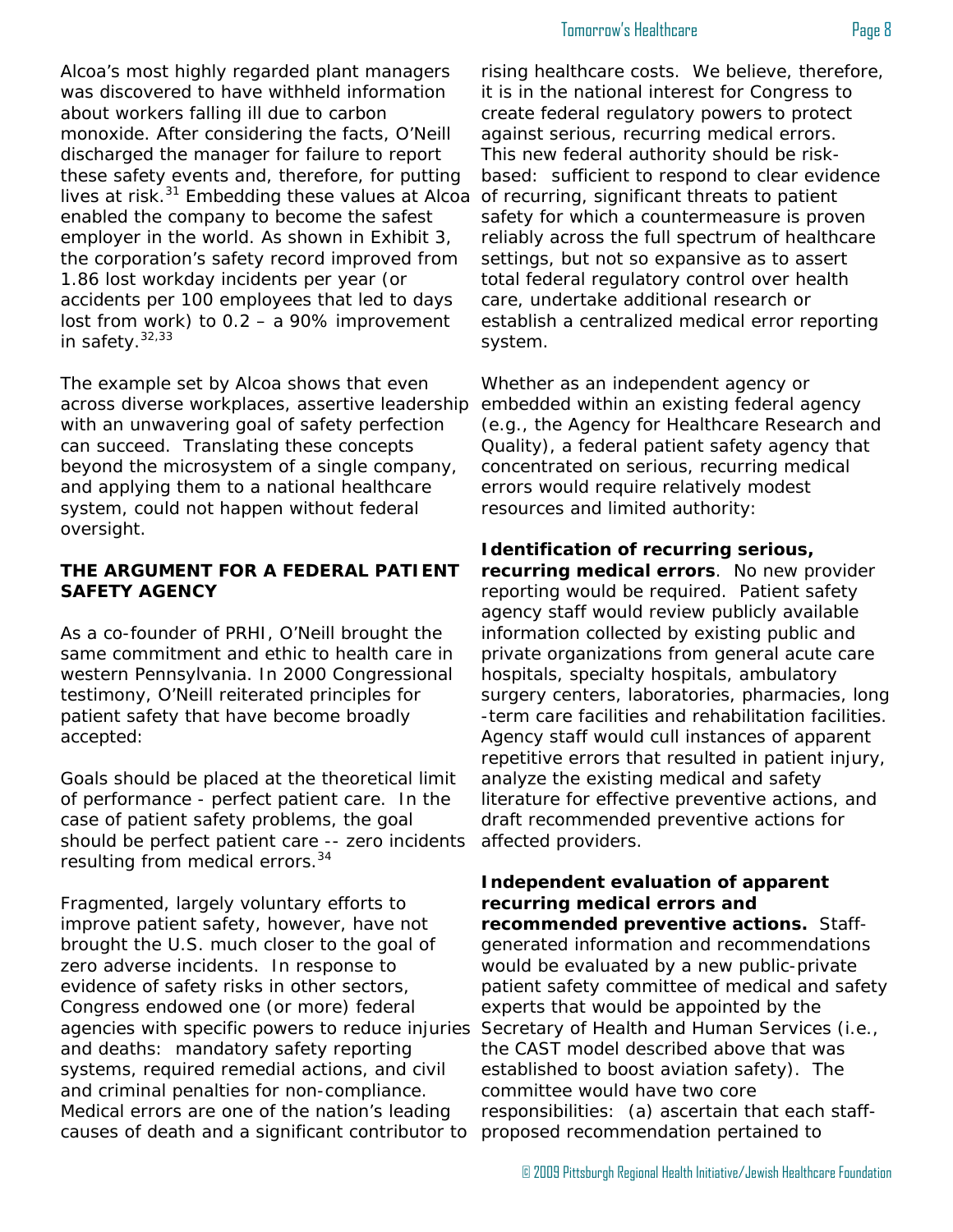#### Tomorrow's Healthcare **Page 8**

Alcoa's most highly regarded plant managers was discovered to have withheld information about workers falling ill due to carbon monoxide. After considering the facts, O'Neill discharged the manager for failure to report these safety events and, therefore, for putting lives at risk.<sup>31</sup> Embedding these values at Alcoa enabled the company to become the safest employer in the world. As shown in Exhibit 3, the corporation's safety record improved from 1.86 lost workday incidents per year (or accidents per 100 employees that led to days lost from work) to 0.2 – a 90% improvement in safety. $32,33$ 

The example set by Alcoa shows that even across diverse workplaces, assertive leadership with an unwavering goal of safety perfection can succeed. Translating these concepts beyond the microsystem of a single company, and applying them to a national healthcare system, could not happen without federal oversight.

#### **THE ARGUMENT FOR A FEDERAL PATIENT SAFETY AGENCY**

As a co-founder of PRHI, O'Neill brought the same commitment and ethic to health care in western Pennsylvania. In 2000 Congressional testimony, O'Neill reiterated principles for patient safety that have become broadly accepted:

Goals should be placed at the theoretical limit of performance - perfect patient care. In the case of patient safety problems, the goal should be perfect patient care -- zero incidents resulting from medical errors.<sup>34</sup>

Fragmented, largely voluntary efforts to improve patient safety, however, have not brought the U.S. much closer to the goal of zero adverse incidents. In response to evidence of safety risks in other sectors, Congress endowed one (or more) federal agencies with specific powers to reduce injuries and deaths: mandatory safety reporting systems, required remedial actions, and civil and criminal penalties for non-compliance. Medical errors are one of the nation's leading causes of death and a significant contributor to

rising healthcare costs. We believe, therefore, it is in the national interest for Congress to create federal regulatory powers to protect against serious, recurring medical errors. This new federal authority should be riskbased: sufficient to respond to clear evidence of recurring, significant threats to patient safety for which a countermeasure is proven reliably across the full spectrum of healthcare settings, but not so expansive as to assert total federal regulatory control over health care, undertake additional research or establish a centralized medical error reporting system.

Whether as an independent agency or embedded within an existing federal agency (e.g., the Agency for Healthcare Research and Quality), a federal patient safety agency that concentrated on serious, recurring medical errors would require relatively modest resources and limited authority:

#### **Identification of recurring serious, recurring medical errors**. No new provider reporting would be required. Patient safety agency staff would review publicly available information collected by existing public and private organizations from general acute care hospitals, specialty hospitals, ambulatory surgery centers, laboratories, pharmacies, long -term care facilities and rehabilitation facilities. Agency staff would cull instances of apparent repetitive errors that resulted in patient injury, analyze the existing medical and safety literature for effective preventive actions, and draft recommended preventive actions for affected providers.

#### **Independent evaluation of apparent recurring medical errors and recommended preventive actions.** Staffgenerated information and recommendations would be evaluated by a new public-private patient safety committee of medical and safety experts that would be appointed by the Secretary of Health and Human Services (i.e., the CAST model described above that was established to boost aviation safety). The committee would have two core responsibilities: (a) ascertain that each staffproposed recommendation pertained to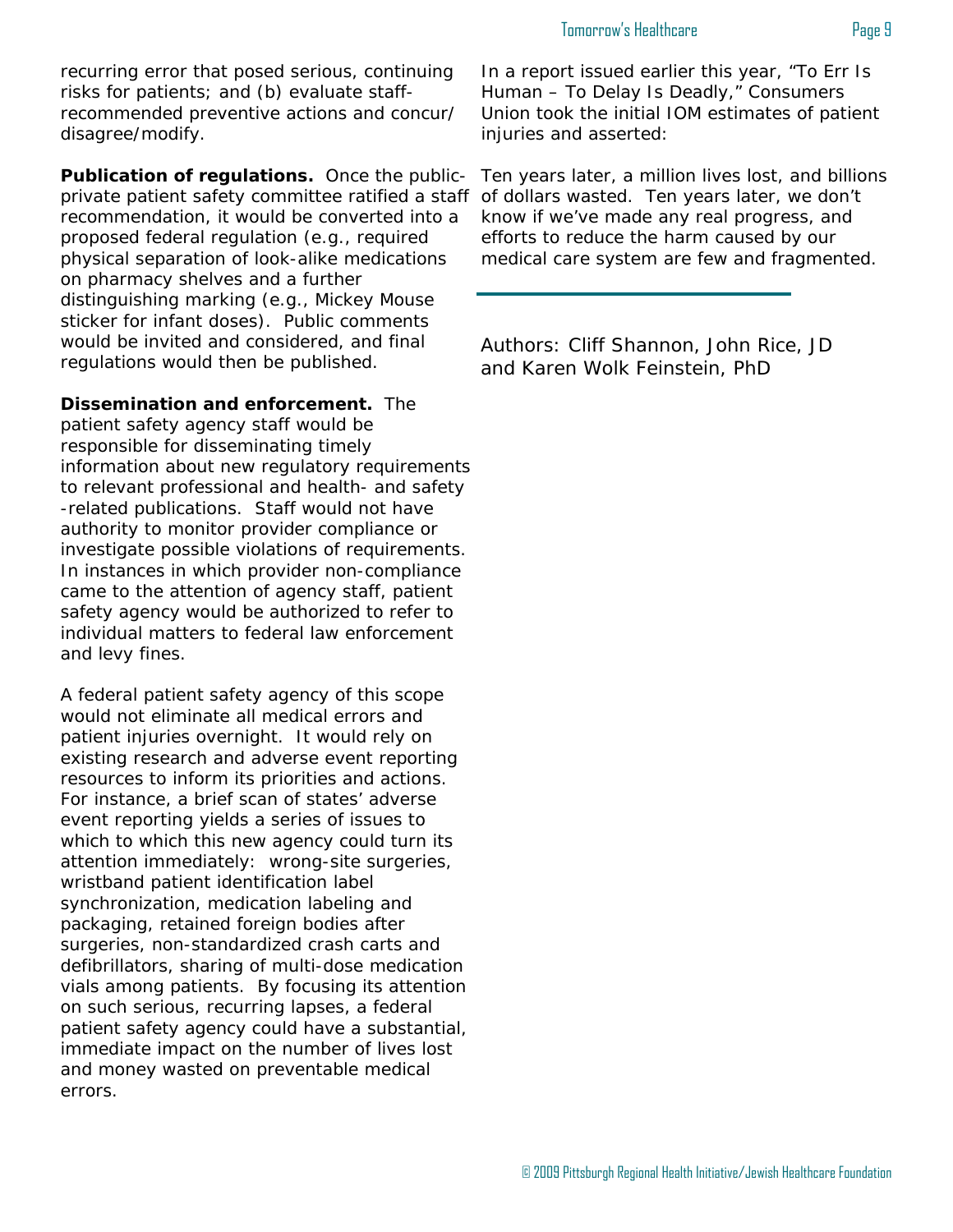recurring error that posed serious, continuing risks for patients; and (b) evaluate staffrecommended preventive actions and concur/ disagree/modify.

**Publication of regulations.** Once the publicprivate patient safety committee ratified a staff recommendation, it would be converted into a proposed federal regulation (e.g., required physical separation of look-alike medications on pharmacy shelves and a further distinguishing marking (e.g., Mickey Mouse sticker for infant doses). Public comments would be invited and considered, and final regulations would then be published.

**Dissemination and enforcement.** The patient safety agency staff would be responsible for disseminating timely information about new regulatory requirements to relevant professional and health- and safety -related publications. Staff would not have authority to monitor provider compliance or investigate possible violations of requirements. In instances in which provider non-compliance came to the attention of agency staff, patient safety agency would be authorized to refer to individual matters to federal law enforcement and levy fines.

A federal patient safety agency of this scope would not eliminate all medical errors and patient injuries overnight. It would rely on existing research and adverse event reporting resources to inform its priorities and actions. For instance, a brief scan of states' adverse event reporting yields a series of issues to which to which this new agency could turn its attention immediately: wrong-site surgeries, wristband patient identification label synchronization, medication labeling and packaging, retained foreign bodies after surgeries, non-standardized crash carts and defibrillators, sharing of multi-dose medication vials among patients. By focusing its attention on such serious, recurring lapses, a federal patient safety agency could have a substantial, immediate impact on the number of lives lost and money wasted on preventable medical errors.

In a report issued earlier this year, "To Err Is Human – To Delay Is Deadly," Consumers Union took the initial IOM estimates of patient injuries and asserted:

Ten years later, a million lives lost, and billions of dollars wasted. Ten years later, we don't know if we've made any real progress, and efforts to reduce the harm caused by our medical care system are few and fragmented.

Authors: Cliff Shannon, John Rice, JD and Karen Wolk Feinstein, PhD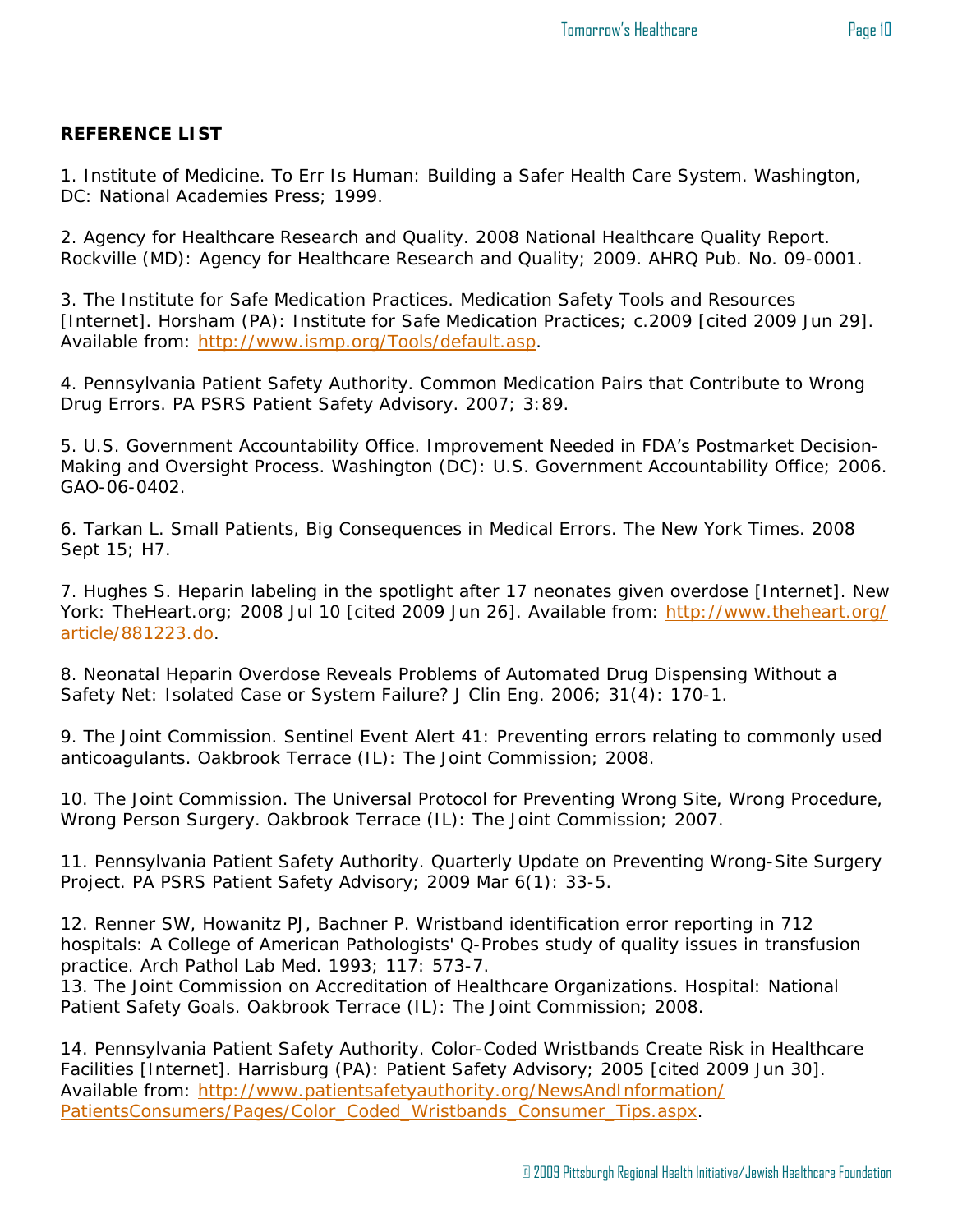#### **REFERENCE LIST**

1. Institute of Medicine. To Err Is Human: Building a Safer Health Care System. Washington, DC: National Academies Press; 1999.

2. Agency for Healthcare Research and Quality. 2008 National Healthcare Quality Report. Rockville (MD): Agency for Healthcare Research and Quality; 2009. AHRQ Pub. No. 09-0001.

3. The Institute for Safe Medication Practices. Medication Safety Tools and Resources [Internet]. Horsham (PA): Institute for Safe Medication Practices; c.2009 [cited 2009 Jun 29]. Available from: http://www.ismp.org/Tools/default.asp.

4. Pennsylvania Patient Safety Authority. Common Medication Pairs that Contribute to Wrong Drug Errors. PA PSRS Patient Safety Advisory. 2007; 3:89.

5. U.S. Government Accountability Office. Improvement Needed in FDA's Postmarket Decision-Making and Oversight Process. Washington (DC): U.S. Government Accountability Office; 2006. GAO-06-0402.

6. Tarkan L. Small Patients, Big Consequences in Medical Errors. The New York Times. 2008 Sept 15; H7.

7. Hughes S. Heparin labeling in the spotlight after 17 neonates given overdose [Internet]. New York: TheHeart.org; 2008 Jul 10 [cited 2009 Jun 26]. Available from: http://www.theheart.org/ article/881223.do.

8. Neonatal Heparin Overdose Reveals Problems of Automated Drug Dispensing Without a Safety Net: Isolated Case or System Failure? J Clin Eng. 2006; 31(4): 170-1.

9. The Joint Commission. Sentinel Event Alert 41: Preventing errors relating to commonly used anticoagulants. Oakbrook Terrace (IL): The Joint Commission; 2008.

10. The Joint Commission. The Universal Protocol for Preventing Wrong Site, Wrong Procedure, Wrong Person Surgery. Oakbrook Terrace (IL): The Joint Commission; 2007.

11. Pennsylvania Patient Safety Authority. Quarterly Update on Preventing Wrong-Site Surgery Project. PA PSRS Patient Safety Advisory; 2009 Mar 6(1): 33-5.

12. Renner SW, Howanitz PJ, Bachner P. Wristband identification error reporting in 712 hospitals: A College of American Pathologists' Q-Probes study of quality issues in transfusion practice. Arch Pathol Lab Med. 1993; 117: 573-7.

13. The Joint Commission on Accreditation of Healthcare Organizations. Hospital: National Patient Safety Goals. Oakbrook Terrace (IL): The Joint Commission; 2008.

14. Pennsylvania Patient Safety Authority. Color-Coded Wristbands Create Risk in Healthcare Facilities [Internet]. Harrisburg (PA): Patient Safety Advisory; 2005 [cited 2009 Jun 30]. Available from: http://www.patientsafetyauthority.org/NewsAndInformation/ PatientsConsumers/Pages/Color\_Coded\_Wristbands\_Consumer\_Tips.aspx.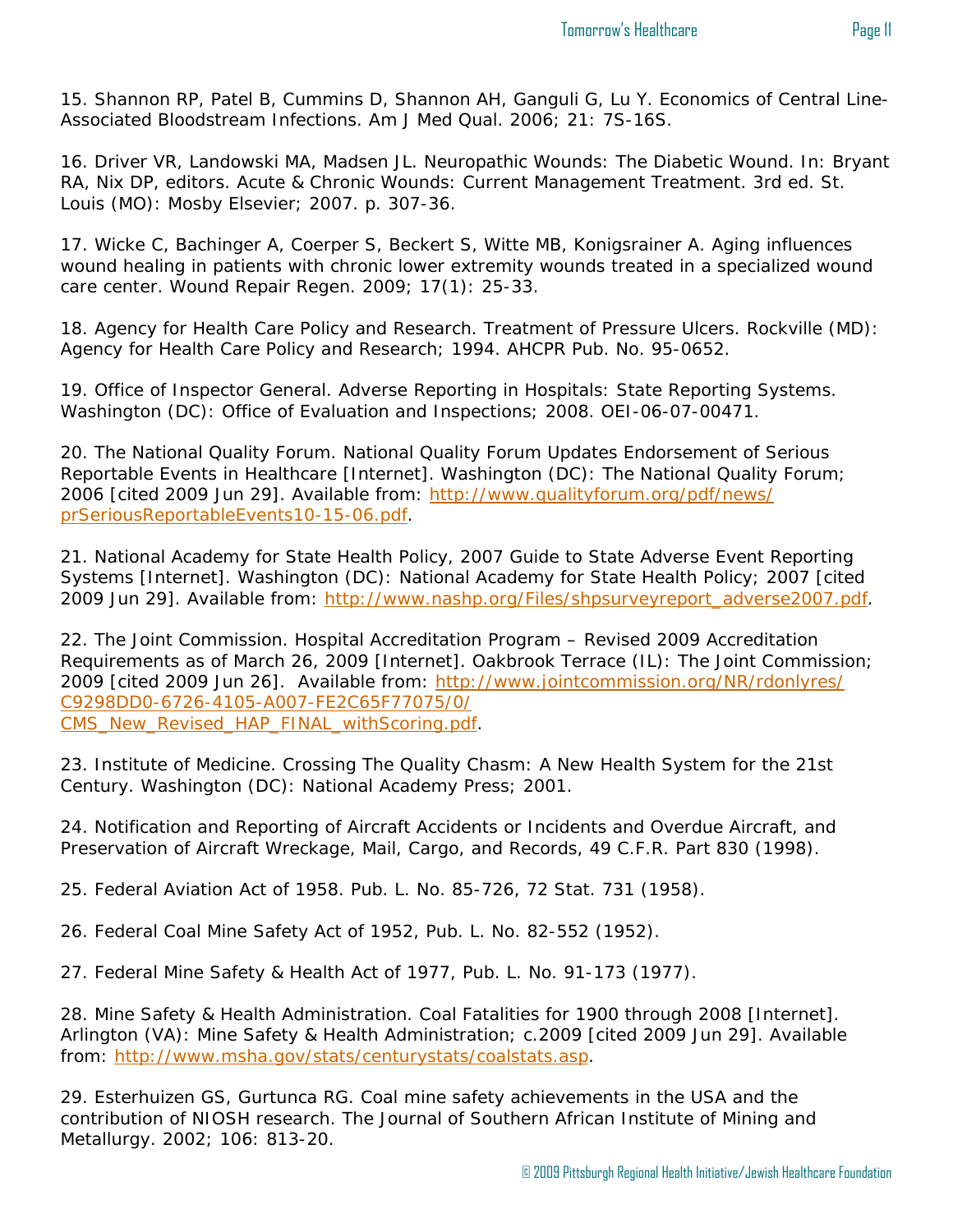15. Shannon RP, Patel B, Cummins D, Shannon AH, Ganguli G, Lu Y. Economics of Central Line-Associated Bloodstream Infections. Am J Med Qual. 2006; 21: 7S-16S.

16. Driver VR, Landowski MA, Madsen JL. Neuropathic Wounds: The Diabetic Wound. In: Bryant RA, Nix DP, editors. Acute & Chronic Wounds: Current Management Treatment. 3rd ed. St. Louis (MO): Mosby Elsevier; 2007. p. 307-36.

17. Wicke C, Bachinger A, Coerper S, Beckert S, Witte MB, Konigsrainer A. Aging influences wound healing in patients with chronic lower extremity wounds treated in a specialized wound care center. Wound Repair Regen. 2009; 17(1): 25-33.

18. Agency for Health Care Policy and Research. Treatment of Pressure Ulcers. Rockville (MD): Agency for Health Care Policy and Research; 1994. AHCPR Pub. No. 95-0652.

19. Office of Inspector General. Adverse Reporting in Hospitals: State Reporting Systems. Washington (DC): Office of Evaluation and Inspections; 2008. OEI-06-07-00471.

20. The National Quality Forum. National Quality Forum Updates Endorsement of Serious Reportable Events in Healthcare [Internet]. Washington (DC): The National Quality Forum; 2006 [cited 2009 Jun 29]. Available from: http://www.qualityforum.org/pdf/news/ prSeriousReportableEvents10-15-06.pdf.

21. National Academy for State Health Policy, 2007 Guide to State Adverse Event Reporting Systems [Internet]. Washington (DC): National Academy for State Health Policy; 2007 [cited 2009 Jun 29]. Available from: http://www.nashp.org/Files/shpsurveyreport\_adverse2007.pdf.

22. The Joint Commission. Hospital Accreditation Program – Revised 2009 Accreditation Requirements as of March 26, 2009 [Internet]. Oakbrook Terrace (IL): The Joint Commission; 2009 [cited 2009 Jun 26]. Available from: http://www.jointcommission.org/NR/rdonlyres/ C9298DD0-6726-4105-A007-FE2C65F77075/0/ CMS\_New\_Revised\_HAP\_FINAL\_withScoring.pdf.

23. Institute of Medicine. Crossing The Quality Chasm: A New Health System for the 21st Century. Washington (DC): National Academy Press; 2001.

24. Notification and Reporting of Aircraft Accidents or Incidents and Overdue Aircraft, and Preservation of Aircraft Wreckage, Mail, Cargo, and Records, 49 C.F.R. Part 830 (1998).

25. Federal Aviation Act of 1958. Pub. L. No. 85-726, 72 Stat. 731 (1958).

26. Federal Coal Mine Safety Act of 1952, Pub. L. No. 82-552 (1952).

27. Federal Mine Safety & Health Act of 1977, Pub. L. No. 91-173 (1977).

28. Mine Safety & Health Administration. Coal Fatalities for 1900 through 2008 [Internet]. Arlington (VA): Mine Safety & Health Administration; c.2009 [cited 2009 Jun 29]. Available from: http://www.msha.gov/stats/centurystats/coalstats.asp.

29. Esterhuizen GS, Gurtunca RG. Coal mine safety achievements in the USA and the contribution of NIOSH research. The Journal of Southern African Institute of Mining and Metallurgy. 2002; 106: 813-20.